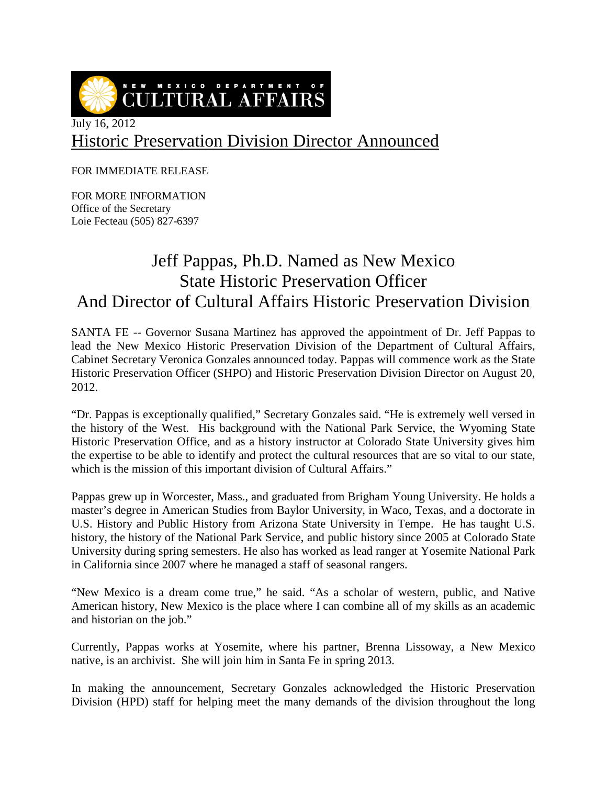NEW MEXICO DEPARTMENT OF **CULTURAL AFFAIRS** 

## Historic Preservation Division Director Announced

FOR IMMEDIATE RELEASE

FOR MORE INFORMATION Office of the Secretary Loie Fecteau (505) 827-6397

## Jeff Pappas, Ph.D. Named as New Mexico State Historic Preservation Officer And Director of Cultural Affairs Historic Preservation Division

SANTA FE -- Governor Susana Martinez has approved the appointment of Dr. Jeff Pappas to lead the New Mexico Historic Preservation Division of the Department of Cultural Affairs, Cabinet Secretary Veronica Gonzales announced today. Pappas will commence work as the State Historic Preservation Officer (SHPO) and Historic Preservation Division Director on August 20, 2012.

"Dr. Pappas is exceptionally qualified," Secretary Gonzales said. "He is extremely well versed in the history of the West. His background with the National Park Service, the Wyoming State Historic Preservation Office, and as a history instructor at Colorado State University gives him the expertise to be able to identify and protect the cultural resources that are so vital to our state, which is the mission of this important division of Cultural Affairs."

Pappas grew up in Worcester, Mass., and graduated from Brigham Young University. He holds a master's degree in American Studies from Baylor University, in Waco, Texas, and a doctorate in U.S. History and Public History from Arizona State University in Tempe. He has taught U.S. history, the history of the National Park Service, and public history since 2005 at Colorado State University during spring semesters. He also has worked as lead ranger at Yosemite National Park in California since 2007 where he managed a staff of seasonal rangers.

"New Mexico is a dream come true," he said. "As a scholar of western, public, and Native American history, New Mexico is the place where I can combine all of my skills as an academic and historian on the job."

Currently, Pappas works at Yosemite, where his partner, Brenna Lissoway, a New Mexico native, is an archivist. She will join him in Santa Fe in spring 2013.

In making the announcement, Secretary Gonzales acknowledged the Historic Preservation Division (HPD) staff for helping meet the many demands of the division throughout the long